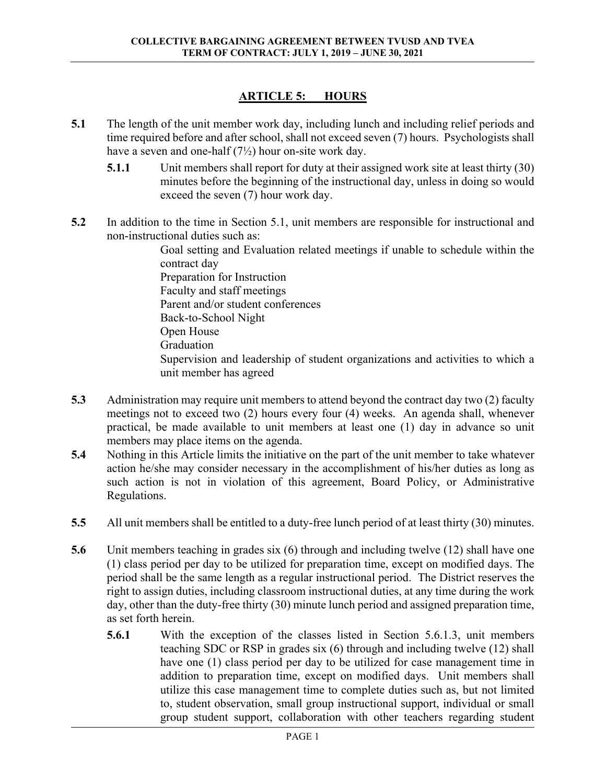## **ARTICLE 5: HOURS**

- **5.1** The length of the unit member work day, including lunch and including relief periods and time required before and after school, shall not exceed seven (7) hours. Psychologists shall have a seven and one-half  $(7\frac{1}{2})$  hour on-site work day.
	- **5.1.1** Unit members shall report for duty at their assigned work site at least thirty (30) minutes before the beginning of the instructional day, unless in doing so would exceed the seven (7) hour work day.
- **5.2** In addition to the time in Section 5.1, unit members are responsible for instructional and non-instructional duties such as:

Goal setting and Evaluation related meetings if unable to schedule within the contract day Preparation for Instruction Faculty and staff meetings Parent and/or student conferences Back-to-School Night Open House Graduation Supervision and leadership of student organizations and activities to which a unit member has agreed

- **5.3** Administration may require unit members to attend beyond the contract day two (2) faculty meetings not to exceed two (2) hours every four (4) weeks. An agenda shall, whenever practical, be made available to unit members at least one (1) day in advance so unit members may place items on the agenda.
- **5.4** Nothing in this Article limits the initiative on the part of the unit member to take whatever action he/she may consider necessary in the accomplishment of his/her duties as long as such action is not in violation of this agreement, Board Policy, or Administrative Regulations.
- **5.5** All unit members shall be entitled to a duty-free lunch period of at least thirty (30) minutes.
- **5.6** Unit members teaching in grades six (6) through and including twelve (12) shall have one (1) class period per day to be utilized for preparation time, except on modified days. The period shall be the same length as a regular instructional period. The District reserves the right to assign duties, including classroom instructional duties, at any time during the work day, other than the duty-free thirty (30) minute lunch period and assigned preparation time, as set forth herein.
	- **5.6.1** With the exception of the classes listed in Section 5.6.1.3, unit members teaching SDC or RSP in grades six (6) through and including twelve (12) shall have one (1) class period per day to be utilized for case management time in addition to preparation time, except on modified days. Unit members shall utilize this case management time to complete duties such as, but not limited to, student observation, small group instructional support, individual or small group student support, collaboration with other teachers regarding student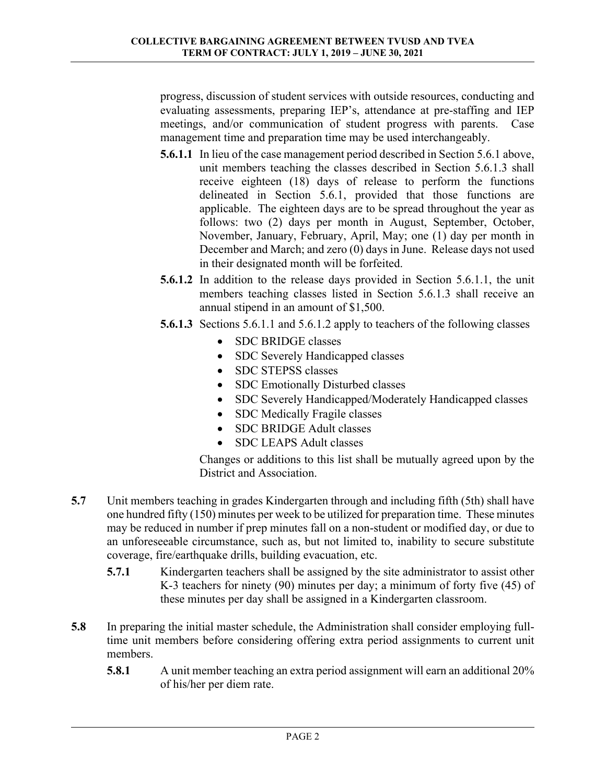progress, discussion of student services with outside resources, conducting and evaluating assessments, preparing IEP's, attendance at pre-staffing and IEP meetings, and/or communication of student progress with parents. Case management time and preparation time may be used interchangeably.

- **5.6.1.1** In lieu of the case management period described in Section 5.6.1 above, unit members teaching the classes described in Section 5.6.1.3 shall receive eighteen (18) days of release to perform the functions delineated in Section 5.6.1, provided that those functions are applicable. The eighteen days are to be spread throughout the year as follows: two (2) days per month in August, September, October, November, January, February, April, May; one (1) day per month in December and March; and zero (0) days in June. Release days not used in their designated month will be forfeited.
- **5.6.1.2** In addition to the release days provided in Section 5.6.1.1, the unit members teaching classes listed in Section 5.6.1.3 shall receive an annual stipend in an amount of \$1,500.
- **5.6.1.3** Sections 5.6.1.1 and 5.6.1.2 apply to teachers of the following classes
	- SDC BRIDGE classes
	- SDC Severely Handicapped classes
	- SDC STEPSS classes
	- SDC Emotionally Disturbed classes
	- SDC Severely Handicapped/Moderately Handicapped classes
	- SDC Medically Fragile classes
	- SDC BRIDGE Adult classes
	- SDC LEAPS Adult classes

 Changes or additions to this list shall be mutually agreed upon by the District and Association.

- **5.7** Unit members teaching in grades Kindergarten through and including fifth (5th) shall have one hundred fifty (150) minutes per week to be utilized for preparation time. These minutes may be reduced in number if prep minutes fall on a non-student or modified day, or due to an unforeseeable circumstance, such as, but not limited to, inability to secure substitute coverage, fire/earthquake drills, building evacuation, etc.
	- **5.7.1** Kindergarten teachers shall be assigned by the site administrator to assist other K-3 teachers for ninety (90) minutes per day; a minimum of forty five (45) of these minutes per day shall be assigned in a Kindergarten classroom.
- **5.8** In preparing the initial master schedule, the Administration shall consider employing fulltime unit members before considering offering extra period assignments to current unit members.
	- **5.8.1** A unit member teaching an extra period assignment will earn an additional 20% of his/her per diem rate.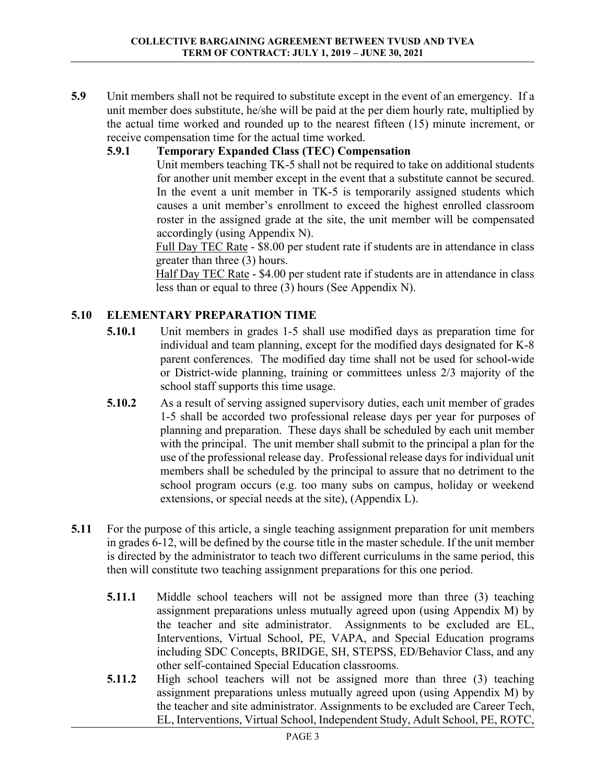**5.9** Unit members shall not be required to substitute except in the event of an emergency. If a unit member does substitute, he/she will be paid at the per diem hourly rate, multiplied by the actual time worked and rounded up to the nearest fifteen (15) minute increment, or receive compensation time for the actual time worked.

## **5.9.1 Temporary Expanded Class (TEC) Compensation**

Unit members teaching TK-5 shall not be required to take on additional students for another unit member except in the event that a substitute cannot be secured. In the event a unit member in TK-5 is temporarily assigned students which causes a unit member's enrollment to exceed the highest enrolled classroom roster in the assigned grade at the site, the unit member will be compensated accordingly (using Appendix N).

Full Day TEC Rate - \$8.00 per student rate if students are in attendance in class greater than three (3) hours.

 Half Day TEC Rate - \$4.00 per student rate if students are in attendance in class less than or equal to three (3) hours (See Appendix N).

## **5.10 ELEMENTARY PREPARATION TIME**

- **5.10.1** Unit members in grades 1-5 shall use modified days as preparation time for individual and team planning, except for the modified days designated for K-8 parent conferences. The modified day time shall not be used for school-wide or District-wide planning, training or committees unless 2/3 majority of the school staff supports this time usage.
- **5.10.2** As a result of serving assigned supervisory duties, each unit member of grades 1-5 shall be accorded two professional release days per year for purposes of planning and preparation. These days shall be scheduled by each unit member with the principal. The unit member shall submit to the principal a plan for the use of the professional release day. Professional release days for individual unit members shall be scheduled by the principal to assure that no detriment to the school program occurs (e.g. too many subs on campus, holiday or weekend extensions, or special needs at the site), (Appendix L).
- **5.11** For the purpose of this article, a single teaching assignment preparation for unit members in grades 6-12, will be defined by the course title in the master schedule. If the unit member is directed by the administrator to teach two different curriculums in the same period, this then will constitute two teaching assignment preparations for this one period.
	- **5.11.1** Middle school teachers will not be assigned more than three (3) teaching assignment preparations unless mutually agreed upon (using Appendix M) by the teacher and site administrator. Assignments to be excluded are EL, Interventions, Virtual School, PE, VAPA, and Special Education programs including SDC Concepts, BRIDGE, SH, STEPSS, ED/Behavior Class, and any other self-contained Special Education classrooms.
	- **5.11.2** High school teachers will not be assigned more than three (3) teaching assignment preparations unless mutually agreed upon (using Appendix M) by the teacher and site administrator. Assignments to be excluded are Career Tech, EL, Interventions, Virtual School, Independent Study, Adult School, PE, ROTC,